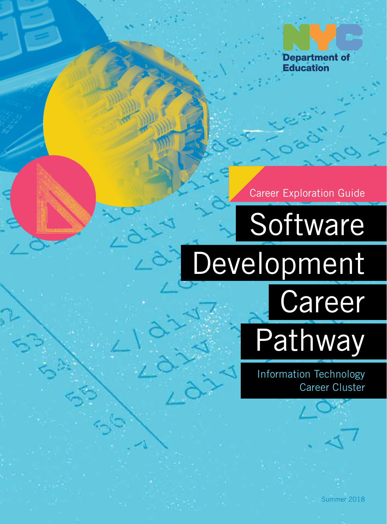

Career Exploration Guide

**Software** Development **Career** Pathway

> Information Technology Career Cluster

> > Summer 2018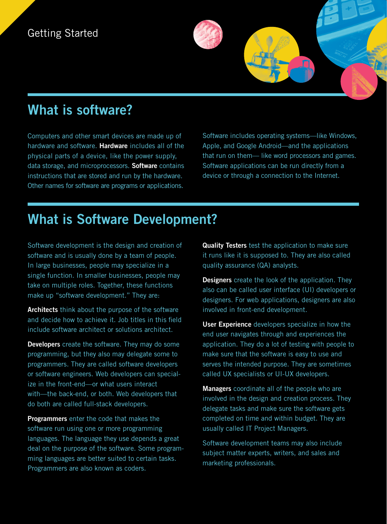## Getting Started

## **What is software?**

Computers and other smart devices are made up of hardware and software. **Hardware** includes all of the physical parts of a device, like the power supply, data storage, and microprocessors. **Software** contains instructions that are stored and run by the hardware. Other names for software are programs or applications.

Software includes operating systems—like Windows, Apple, and Google Android—and the applications that run on them— like word processors and games. Software applications can be run directly from a device or through a connection to the Internet.

# **What is Software Development?**

Software development is the design and creation of software and is usually done by a team of people. In large businesses, people may specialize in a single function. In smaller businesses, people may take on multiple roles. Together, these functions make up "software development." They are:

**Architects** think about the purpose of the software and decide how to achieve it. Job titles in this field include software architect or solutions architect.

**Developers** create the software. They may do some programming, but they also may delegate some to programmers. They are called software developers or software engineers. Web developers can specialize in the front-end—or what users interact with—the back-end, or both. Web developers that do both are called full-stack developers.

**Programmers** enter the code that makes the software run using one or more programming languages. The language they use depends a great deal on the purpose of the software. Some programming languages are better suited to certain tasks. Programmers are also known as coders.

**Quality Testers** test the application to make sure it runs like it is supposed to. They are also called quality assurance (QA) analysts.

**Designers** create the look of the application. They also can be called user interface (UI) developers or designers. For web applications, designers are also involved in front-end development.

**User Experience** developers specialize in how the end user navigates through and experiences the application. They do a lot of testing with people to make sure that the software is easy to use and serves the intended purpose. They are sometimes called UX specialists or UI-UX developers.

**Managers** coordinate all of the people who are involved in the design and creation process. They delegate tasks and make sure the software gets completed on time and within budget. They are usually called IT Project Managers.

Software development teams may also include subject matter experts, writers, and sales and marketing professionals.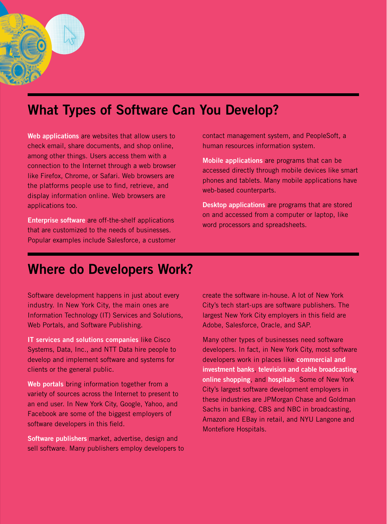# **What Types of Software Can You Develop?**

**Web applications** are websites that allow users to check email, share documents, and shop online, among other things. Users access them with a connection to the Internet through a web browser like Firefox, Chrome, or Safari. Web browsers are the platforms people use to find, retrieve, and display information online. Web browsers are applications too.

**Enterprise software** are off-the-shelf applications that are customized to the needs of businesses. Popular examples include Salesforce, a customer contact management system, and PeopleSoft, a human resources information system.

**Mobile applications** are programs that can be accessed directly through mobile devices like smart phones and tablets. Many mobile applications have web-based counterparts.

**Desktop applications** are programs that are stored on and accessed from a computer or laptop, like word processors and spreadsheets.

## **Where do Developers Work?**

Software development happens in just about every industry. In New York City, the main ones are Information Technology (IT) Services and Solutions, Web Portals, and Software Publishing.

**IT services and solutions companies** like Cisco Systems, Data, Inc., and NTT Data hire people to develop and implement software and systems for clients or the general public.

**Web portals** bring information together from a variety of sources across the Internet to present to an end user. In New York City, Google, Yahoo, and Facebook are some of the biggest employers of software developers in this field.

**Software publishers** market, advertise, design and sell software. Many publishers employ developers to create the software in-house. A lot of New York City's tech start-ups are software publishers. The largest New York City employers in this field are Adobe, Salesforce, Oracle, and SAP.

Many other types of businesses need software developers. In fact, in New York City, most software developers work in places like **commercial and investment banks**, **television and cable broadcasting**, **online shopping**, and **hospitals**. Some of New York City's largest software development employers in these industries are JPMorgan Chase and Goldman Sachs in banking, CBS and NBC in broadcasting, Amazon and EBay in retail, and NYU Langone and Montefiore Hospitals.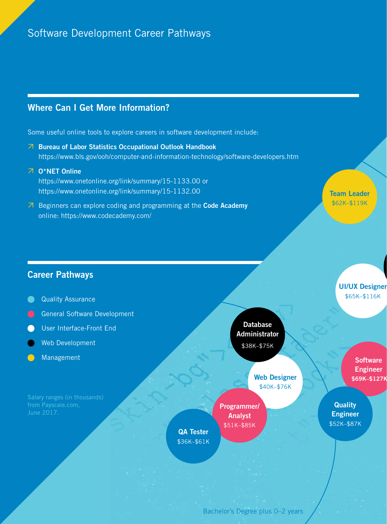### Software Development Career Pathways

### **Where Can I Get More Information?**

Some useful online tools to explore careers in software development include:

- **Bureau of Labor Statistics Occupational Outlook Handbook** https://www.bls.gov/ooh/computer-and-information-technology/software-developers.htm
- **O\*NET Online** https://www.onetonline.org/link/summary/15-1133.00 or https://www.onetonline.org/link/summary/15-1132.00
- Beginners can explore coding and programming at the **Code Academy** online: https://www.codecademy.com/

**Team Leader** \$62K–\$119K

### **Career Pathways**

- **Quality Assurance**
- General Software Development
- User Interface-Front End
- Web Development
- Management

**Database Administrator** \$38K–\$75K

> **Web Designer** \$40K–\$76K

**Programmer/ Analyst** \$51K–\$85K

**UI/UX Designer** \$65K–\$116K

> **Software Engineer \$69K–\$127K**

**Quality Engineer** \$52K–\$87K

Bachelor's Degree plus 0–2 years

**QA Tester** \$36K–\$61K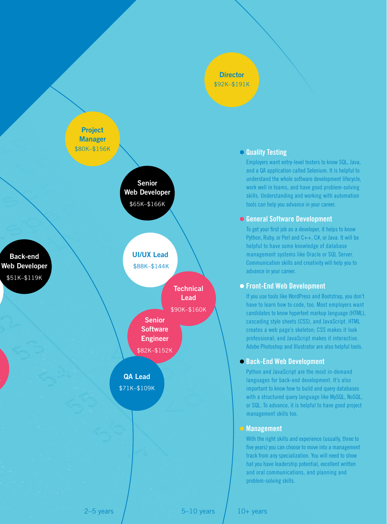#### **Director** \$92K–\$191K



#### **Quality Testing**

Employers want entry-level testers to know SQL, Java, and a QA application called Selenium. It is helpful to understand the whole software development lifecycle, work well in teams, and have good problem-solving skills. Understanding and working with automation tools can help you advance in your career.

#### **General Software Development**

To get your first job as a developer, it helps to know Python, Ruby, or Perl and C++, C#, or Java. It will be helpful to have some knowledge of database management systems like Oracle or SQL Server. Communication skills and creativity will help you to advance in your career.

#### **Front-End Web Development**

If you use tools like WordPress and Bootstrap, you don't have to learn how to code, too. Most employers want candidates to know hypertext markup language (HTML), cascading style sheets (CSS), and JavaScript. HTML creates a web page's skeleton; CSS makes it look professional; and JavaScript makes it interactive. Adobe Photoshop and Illustrator are also helpful tools.

#### **Back-End Web Development**

Python and JavaScript are the most in-demand languages for back-end development. It's also important to know how to build and query databases with a structured query language like MySQL, NoSQL, or SQL. To advance, it is helpful to have good project management skills too.

#### **Management**

With the right skills and experience (usually, three to five years) you can choose to move into a management track from any specialization. You will need to show hat you have leadership potential, excellent written and oral communications, and planning and problem-solving skills.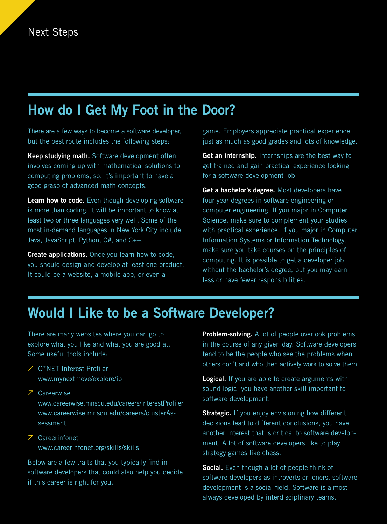# **How do I Get My Foot in the Door?**

There are a few ways to become a software developer, but the best route includes the following steps:

**Keep studying math.** Software development often involves coming up with mathematical solutions to computing problems, so, it's important to have a good grasp of advanced math concepts.

**Learn how to code.** Even though developing software is more than coding, it will be important to know at least two or three languages very well. Some of the most in-demand languages in New York City include Java, JavaScript, Python, C#, and C++.

**Create applications.** Once you learn how to code, you should design and develop at least one product. It could be a website, a mobile app, or even a

game. Employers appreciate practical experience just as much as good grades and lots of knowledge.

**Get an internship.** Internships are the best way to get trained and gain practical experience looking for a software development job.

**Get a bachelor's degree.** Most developers have four-year degrees in software engineering or computer engineering. If you major in Computer Science, make sure to complement your studies with practical experience. If you major in Computer Information Systems or Information Technology, make sure you take courses on the principles of computing. It is possible to get a developer job without the bachelor's degree, but you may earn less or have fewer responsibilities.

## **Would I Like to be a Software Developer?**

There are many websites where you can go to explore what you like and what you are good at. Some useful tools include:

- O\*NET Interest Profiler www.mynextmove/explore/ip
- Careerwise www.careerwise.mnscu.edu/careers/interestProfiler www.careerwise.mnscu.edu/careers/clusterAssessment
- Careerinfonet www.careerinfonet.org/skills/skills

Below are a few traits that you typically find in software developers that could also help you decide if this career is right for you.

**Problem-solving.** A lot of people overlook problems in the course of any given day. Software developers tend to be the people who see the problems when others don't and who then actively work to solve them.

**Logical.** If you are able to create arguments with sound logic, you have another skill important to software development.

**Strategic.** If you enjoy envisioning how different decisions lead to different conclusions, you have another interest that is critical to software development. A lot of software developers like to play strategy games like chess.

**Social.** Even though a lot of people think of software developers as introverts or loners, software development is a social field. Software is almost always developed by interdisciplinary teams.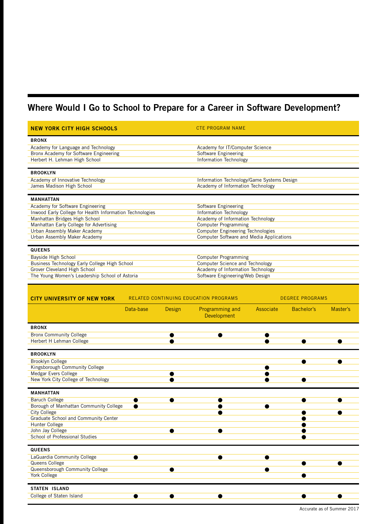### **Where Would I Go to School to Prepare for a Career in Software Development?**

| <b>NEW YORK CITY HIGH SCHOOLS</b>                                           |           |                             | <b>CTE PROGRAM NAME</b>                                          |                                          |                        |          |  |
|-----------------------------------------------------------------------------|-----------|-----------------------------|------------------------------------------------------------------|------------------------------------------|------------------------|----------|--|
| <b>BRONX</b>                                                                |           |                             |                                                                  |                                          |                        |          |  |
| Academy for Language and Technology                                         |           |                             | Academy for IT/Computer Science                                  |                                          |                        |          |  |
| Bronx Academy for Software Engineering                                      |           |                             | Software Engineering                                             |                                          |                        |          |  |
| Herbert H. Lehman High School                                               |           |                             | Information Technology                                           |                                          |                        |          |  |
| <b>BROOKLYN</b>                                                             |           |                             |                                                                  |                                          |                        |          |  |
| Academy of Innovative Technology                                            |           |                             | Information Technology/Game Systems Design                       |                                          |                        |          |  |
| James Madison High School                                                   |           |                             | Academy of Information Technology                                |                                          |                        |          |  |
| <b>MANHATTAN</b>                                                            |           |                             |                                                                  |                                          |                        |          |  |
| Academy for Software Engineering                                            |           |                             | Software Engineering                                             |                                          |                        |          |  |
| Inwood Early College for Health Information Technologies                    |           |                             | Information Technology                                           |                                          |                        |          |  |
| Manhattan Bridges High School<br>Manhattan Early College for Advertising    |           |                             | Academy of Information Technology<br><b>Computer Programming</b> |                                          |                        |          |  |
| Urban Assembly Maker Academy                                                |           |                             | <b>Computer Engineering Technologies</b>                         |                                          |                        |          |  |
| Urban Assembly Maker Academy                                                |           |                             |                                                                  | Computer Software and Media Applications |                        |          |  |
| <b>QUEENS</b>                                                               |           |                             |                                                                  |                                          |                        |          |  |
| Bayside High School                                                         |           | <b>Computer Programming</b> |                                                                  |                                          |                        |          |  |
| Business Technology Early College High School                               |           |                             | Computer Science and Technology                                  |                                          |                        |          |  |
| Grover Cleveland High School                                                |           |                             | Academy of Information Technology                                |                                          |                        |          |  |
| The Young Women's Leadership School of Astoria                              |           |                             | Software Engineering/Web Design                                  |                                          |                        |          |  |
|                                                                             |           |                             |                                                                  |                                          |                        |          |  |
| RELATED CONTINUING EDUCATION PROGRAMS<br><b>CITY UNIVERSITY OF NEW YORK</b> |           |                             |                                                                  |                                          | <b>DEGREE PROGRAMS</b> |          |  |
|                                                                             | Data-base | Design                      | Programming and                                                  | Associate                                | Bachelor's             | Master's |  |
|                                                                             |           |                             | <b>Development</b>                                               |                                          |                        |          |  |
| <b>BRONX</b>                                                                |           |                             |                                                                  |                                          |                        |          |  |
| <b>Bronx Community College</b>                                              |           |                             |                                                                  |                                          |                        |          |  |
| Herbert H Lehman College                                                    |           |                             |                                                                  |                                          |                        |          |  |
| <b>BROOKLYN</b>                                                             |           |                             |                                                                  |                                          |                        |          |  |
| <b>Brooklyn College</b>                                                     |           |                             |                                                                  |                                          |                        |          |  |
| Kingsborough Community College                                              |           |                             |                                                                  |                                          |                        |          |  |
| Medgar Evers College                                                        |           | e                           |                                                                  |                                          |                        |          |  |
| New York City College of Technology                                         |           |                             |                                                                  |                                          |                        |          |  |
| <b>MANHATTAN</b>                                                            |           |                             |                                                                  |                                          |                        |          |  |
| <b>Baruch College</b>                                                       |           |                             |                                                                  |                                          |                        |          |  |
| Borough of Manhattan Community College                                      |           |                             |                                                                  |                                          |                        |          |  |
| City College<br>Graduate School and Community Center                        |           |                             |                                                                  |                                          | ●                      |          |  |
| Hunter College                                                              |           |                             |                                                                  |                                          | e                      |          |  |
| John Jay College                                                            |           |                             |                                                                  |                                          |                        |          |  |
| School of Professional Studies                                              |           |                             |                                                                  |                                          |                        |          |  |
| <b>QUEENS</b>                                                               |           |                             |                                                                  |                                          |                        |          |  |
| LaGuardia Community College                                                 | ●         |                             |                                                                  |                                          |                        |          |  |
| Queens College                                                              |           |                             |                                                                  |                                          |                        |          |  |
| Queensborough Community College                                             |           |                             |                                                                  |                                          |                        |          |  |
| York College                                                                |           |                             |                                                                  |                                          |                        |          |  |
| <b>STATEN ISLAND</b>                                                        |           |                             |                                                                  |                                          |                        |          |  |
| College of Staten Island                                                    |           |                             | Α                                                                |                                          |                        |          |  |
|                                                                             |           |                             |                                                                  |                                          |                        |          |  |

Accurate as of Summer 2017